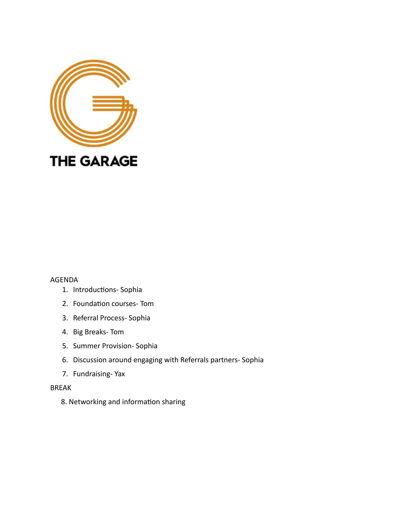

## AGENDA

- 1. Introductions- Sophia
- 2. Foundation courses- Tom
- 3. Referral Process- Sophia
- 4. Big Breaks- Tom
- 5. Summer Provision- Sophia
- 6. Discussion around engaging with Referrals partners- Sophia
- 7. Fundraising- Yax

## BREAK

8. Networking and information sharing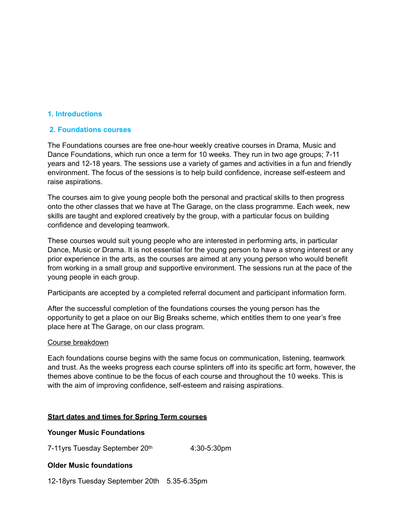# **1. Introductions**

## **2. Foundations courses**

The Foundations courses are free one-hour weekly creative courses in Drama, Music and Dance Foundations, which run once a term for 10 weeks. They run in two age groups; 7-11 years and 12-18 years. The sessions use a variety of games and activities in a fun and friendly environment. The focus of the sessions is to help build confidence, increase self-esteem and raise aspirations.

The courses aim to give young people both the personal and practical skills to then progress onto the other classes that we have at The Garage, on the class programme. Each week, new skills are taught and explored creatively by the group, with a particular focus on building confidence and developing teamwork.

These courses would suit young people who are interested in performing arts, in particular Dance, Music or Drama. It is not essential for the young person to have a strong interest or any prior experience in the arts, as the courses are aimed at any young person who would benefit from working in a small group and supportive environment. The sessions run at the pace of the young people in each group.

Participants are accepted by a completed referral document and participant information form.

After the successful completion of the foundations courses the young person has the opportunity to get a place on our Big Breaks scheme, which entitles them to one year's free place here at The Garage, on our class program.

## Course breakdown

Each foundations course begins with the same focus on communication, listening, teamwork and trust. As the weeks progress each course splinters off into its specific art form, however, the themes above continue to be the focus of each course and throughout the 10 weeks. This is with the aim of improving confidence, self-esteem and raising aspirations.

## **Start dates and times for Spring Term courses**

## **Younger Music Foundations**

7-11yrs Tuesday September 20th 4:30-5:30pm

## **Older Music foundations**

12-18yrs Tuesday September 20th 5.35-6.35pm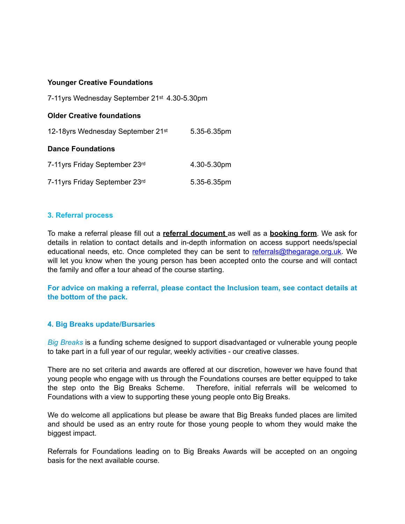## **Younger Creative Foundations**

7-11yrs Wednesday September 21st 4.30-5.30pm

## **Older Creative foundations**

| 12-18yrs Wednesday September 21st | 5.35-6.35pm |
|-----------------------------------|-------------|
|-----------------------------------|-------------|

## **Dance Foundations**

| 7-11 yrs Friday September 23 <sup>rd</sup> | 4.30-5.30pm |
|--------------------------------------------|-------------|
| 7-11 yrs Friday September 23rd             | 5.35-6.35pm |

# **3. Referral process**

To make a referral please fill out a **referral document** as well as a **booking form**. We ask for details in relation to contact details and in-depth information on access support needs/special educational needs, etc. Once completed they can be sent to [referrals@thegarage.org.uk](mailto:referrals@thegarage.org.uk). We will let you know when the young person has been accepted onto the course and will contact the family and offer a tour ahead of the course starting.

**For advice on making a referral, please contact the Inclusion team, see contact details at the bottom of the pack.**

# **4. Big Breaks update/Bursaries**

*Big Breaks* is a funding scheme designed to support disadvantaged or vulnerable young people to take part in a full year of our regular, weekly activities - our creative classes.

There are no set criteria and awards are offered at our discretion, however we have found that young people who engage with us through the Foundations courses are better equipped to take the step onto the Big Breaks Scheme. Therefore, initial referrals will be welcomed to Foundations with a view to supporting these young people onto Big Breaks.

We do welcome all applications but please be aware that Big Breaks funded places are limited and should be used as an entry route for those young people to whom they would make the biggest impact.

Referrals for Foundations leading on to Big Breaks Awards will be accepted on an ongoing basis for the next available course.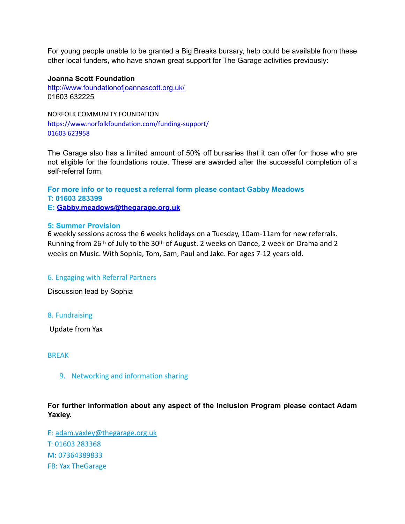For young people unable to be granted a Big Breaks bursary, help could be available from these other local funders, who have shown great support for The Garage activities previously:

## **Joanna Scott Foundation**

<http://www.foundationofjoannascott.org.uk/> 01603 632225

NORFOLK COMMUNITY FOUNDATION <https://www.norfolkfoundation.com/funding-support/> [01603 623958](https://www.google.com/search?safe=strict&client=safari&channel=mac_bm&sxsrf=ALeKk01SgTOlurVhazz8ACBbQyQz_tORqw:1614200730835&source=hp&ei=mr82YN3IMNSHjLsPzKeSmAg&iflsig=AINFCbYAAAAAYDbNqnzBVWxf7O3YHmYdoQBJ5dAcx3Sv&q=norfolk+community+foundation+grants&oq=norfolk+coummunity+f&gs_lcp=Cgdnd3Mtd2l6EAEYATINCC4QxwEQrwEQDRCTAjIECAAQDTIECAAQDTIECAAQDTIKCC4QxwEQrwEQDTIECAAQDTIHCAAQyQMQDTIGCAAQDRAeMgYIABANEB4yBggAEBYQHjoECCMQJzoECC4QQzoFCAAQkQI6CwguELEDEMcBEKMCOgUIABCxAzoKCC4QxwEQrwEQJzoECAAQQzoICC4QsQMQgwE6BwgAEMkDEEM6BwguELEDEEM6CggAELEDEIMBEEM6DQguEMcBEK8BECcQkwI6CAgAELEDEIMBOgUIABDJAzoICC4QxwEQrwE6CwgAELEDEIMBEJECOgIIADoCCC46CAgAEBYQChAeOgkIABDJAxAWEB46CAgAEA0QChAeOgoIABANEAUQChAeOgsIABDJAxANEAUQHjoHCAAQsQMQDToECC4QDToFCCEQoAE6BwgjELACECdQggxYzKsBYJi9AWgEcAB4AIABfIgByhCSAQQxOC42mAEAoAEBqgEHZ3dzLXdpeg&sclient=gws-wiz)

The Garage also has a limited amount of 50% off bursaries that it can offer for those who are not eligible for the foundations route. These are awarded after the successful completion of a self-referral form.

**For more info or to request a referral form please contact Gabby Meadows T: 01603 283399 E: [Gabby.meadows@thegarage.org.uk](mailto:Gabby.meadows@thegarage.org.uk)**

## **5: Summer Provision**

6 weekly sessions across the 6 weeks holidays on a Tuesday, 10am-11am for new referrals. Running from 26th of July to the 30th of August. 2 weeks on Dance, 2 week on Drama and 2 weeks on Music. With Sophia, Tom, Sam, Paul and Jake. For ages 7-12 years old.

# 6. Engaging with Referral Partners

Discussion lead by Sophia

## 8. Fundraising

Update from Yax

## **BRFAK**

9. Networking and information sharing

**For further information about any aspect of the Inclusion Program please contact Adam Yaxley.** 

E: [adam.yaxley@thegarage.org.uk](mailto:adam.yaxley@thegarage.org.uk) T: 01603 283368 M: 07364389833 FB: Yax TheGarage